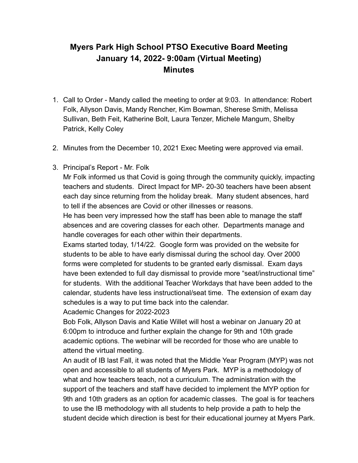## **Myers Park High School PTSO Executive Board Meeting January 14, 2022- 9:00am (Virtual Meeting) Minutes**

- 1. Call to Order Mandy called the meeting to order at 9:03. In attendance: Robert Folk, Allyson Davis, Mandy Rencher, Kim Bowman, Sherese Smith, Melissa Sullivan, Beth Feit, Katherine Bolt, Laura Tenzer, Michele Mangum, Shelby Patrick, Kelly Coley
- 2. Minutes from the December 10, 2021 Exec Meeting were approved via email.
- 3. Principal's Report Mr. Folk

Mr Folk informed us that Covid is going through the community quickly, impacting teachers and students. Direct Impact for MP- 20-30 teachers have been absent each day since returning from the holiday break. Many student absences, hard to tell if the absences are Covid or other illnesses or reasons.

He has been very impressed how the staff has been able to manage the staff absences and are covering classes for each other. Departments manage and handle coverages for each other within their departments.

Exams started today, 1/14/22. Google form was provided on the website for students to be able to have early dismissal during the school day. Over 2000 forms were completed for students to be granted early dismissal. Exam days have been extended to full day dismissal to provide more "seat/instructional time" for students. With the additional Teacher Workdays that have been added to the calendar, students have less instructional/seat time. The extension of exam day schedules is a way to put time back into the calendar.

Academic Changes for 2022-2023

Bob Folk, Allyson Davis and Katie Willet will host a webinar on January 20 at 6:00pm to introduce and further explain the change for 9th and 10th grade academic options. The webinar will be recorded for those who are unable to attend the virtual meeting.

An audit of IB last Fall, it was noted that the Middle Year Program (MYP) was not open and accessible to all students of Myers Park. MYP is a methodology of what and how teachers teach, not a curriculum. The administration with the support of the teachers and staff have decided to implement the MYP option for 9th and 10th graders as an option for academic classes. The goal is for teachers to use the IB methodology with all students to help provide a path to help the student decide which direction is best for their educational journey at Myers Park.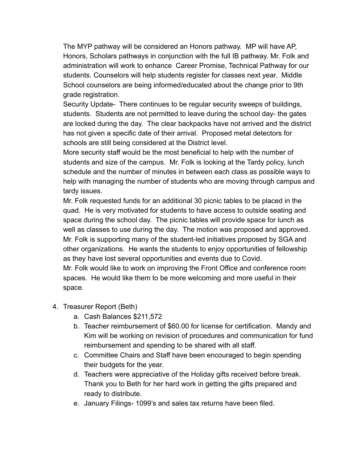The MYP pathway will be considered an Honors pathway. MP will have AP, Honors, Scholars pathways in conjunction with the full IB pathway. Mr. Folk and administration will work to enhance Career Promise, Technical Pathway for our students. Counselors will help students register for classes next year. Middle School counselors are being informed/educated about the change prior to 9th grade registration.

Security Update- There continues to be regular security sweeps of buildings, students. Students are not permitted to leave during the school day- the gates are locked during the day. The clear backpacks have not arrived and the district has not given a specific date of their arrival. Proposed metal detectors for schools are still being considered at the District level.

More security staff would be the most beneficial to help with the number of students and size of the campus. Mr. Folk is looking at the Tardy policy, lunch schedule and the number of minutes in between each class as possible ways to help with managing the number of students who are moving through campus and tardy issues.

Mr. Folk requested funds for an additional 30 picnic tables to be placed in the quad. He is very motivated for students to have access to outside seating and space during the school day. The picnic tables will provide space for lunch as well as classes to use during the day. The motion was proposed and approved. Mr. Folk is supporting many of the student-led initiatives proposed by SGA and other organizations. He wants the students to enjoy opportunities of fellowship as they have lost several opportunities and events due to Covid.

Mr. Folk would like to work on improving the Front Office and conference room spaces. He would like them to be more welcoming and more useful in their space.

- 4. Treasurer Report (Beth)
	- a. Cash Balances \$211,572
	- b. Teacher reimbursement of \$60.00 for license for certification. Mandy and Kim will be working on revision of procedures and communication for fund reimbursement and spending to be shared with all staff.
	- c. Committee Chairs and Staff have been encouraged to begin spending their budgets for the year.
	- d. Teachers were appreciative of the Holiday gifts received before break. Thank you to Beth for her hard work in getting the gifts prepared and ready to distribute.
	- e. January Filings- 1099's and sales tax returns have been filed.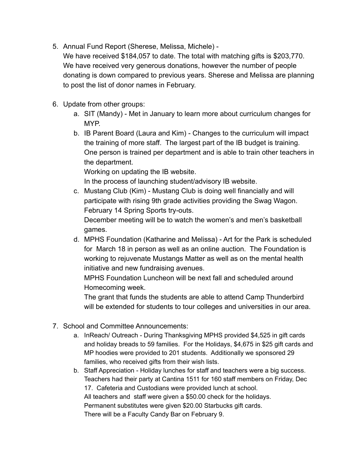5. Annual Fund Report (Sherese, Melissa, Michele) -

We have received \$184,057 to date. The total with matching gifts is \$203,770. We have received very generous donations, however the number of people donating is down compared to previous years. Sherese and Melissa are planning to post the list of donor names in February.

- 6. Update from other groups:
	- a. SIT (Mandy) Met in January to learn more about curriculum changes for MYP.
	- b. IB Parent Board (Laura and Kim) Changes to the curriculum will impact the training of more staff. The largest part of the IB budget is training. One person is trained per department and is able to train other teachers in the department.

Working on updating the IB website.

In the process of launching student/advisory IB website.

c. Mustang Club (Kim) - Mustang Club is doing well financially and will participate with rising 9th grade activities providing the Swag Wagon. February 14 Spring Sports try-outs.

December meeting will be to watch the women's and men's basketball games.

d. MPHS Foundation (Katharine and Melissa) - Art for the Park is scheduled for March 18 in person as well as an online auction. The Foundation is working to rejuvenate Mustangs Matter as well as on the mental health initiative and new fundraising avenues.

MPHS Foundation Luncheon will be next fall and scheduled around Homecoming week.

The grant that funds the students are able to attend Camp Thunderbird will be extended for students to tour colleges and universities in our area.

- 7. School and Committee Announcements:
	- a. InReach/ Outreach During Thanksgiving MPHS provided \$4,525 in gift cards and holiday breads to 59 families. For the Holidays, \$4,675 in \$25 gift cards and MP hoodies were provided to 201 students. Additionally we sponsored 29 families, who received gifts from their wish lists.
	- b. Staff Appreciation Holiday lunches for staff and teachers were a big success. Teachers had their party at Cantina 1511 for 160 staff members on Friday, Dec 17. Cafeteria and Custodians were provided lunch at school. All teachers and staff were given a \$50.00 check for the holidays. Permanent substitutes were given \$20.00 Starbucks gift cards. There will be a Faculty Candy Bar on February 9.